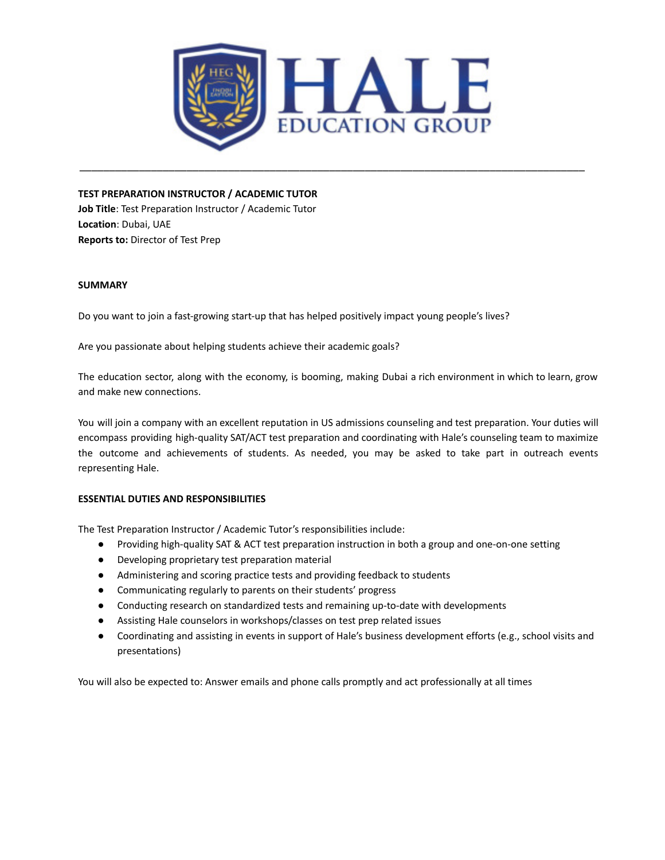

\_\_\_\_\_\_\_\_\_\_\_\_\_\_\_\_\_\_\_\_\_\_\_\_\_\_\_\_\_\_\_\_\_\_\_\_\_\_\_\_\_\_\_\_\_\_\_\_\_\_\_\_\_\_\_\_\_\_\_\_\_\_\_\_\_\_\_\_\_\_\_\_\_\_\_\_\_\_\_\_\_\_\_\_\_

**TEST PREPARATION INSTRUCTOR / ACADEMIC TUTOR**

**Job Title**: Test Preparation Instructor / Academic Tutor **Location**: Dubai, UAE **Reports to:** Director of Test Prep

# **SUMMARY**

Do you want to join a fast-growing start-up that has helped positively impact young people's lives?

Are you passionate about helping students achieve their academic goals?

The education sector, along with the economy, is booming, making Dubai a rich environment in which to learn, grow and make new connections.

You will join a company with an excellent reputation in US admissions counseling and test preparation. Your duties will encompass providing high-quality SAT/ACT test preparation and coordinating with Hale's counseling team to maximize the outcome and achievements of students. As needed, you may be asked to take part in outreach events representing Hale.

# **ESSENTIAL DUTIES AND RESPONSIBILITIES**

The Test Preparation Instructor / Academic Tutor's responsibilities include:

- Providing high-quality SAT & ACT test preparation instruction in both a group and one-on-one setting
- Developing proprietary test preparation material
- Administering and scoring practice tests and providing feedback to students
- Communicating regularly to parents on their students' progress
- Conducting research on standardized tests and remaining up-to-date with developments
- Assisting Hale counselors in workshops/classes on test prep related issues
- Coordinating and assisting in events in support of Hale's business development efforts (e.g., school visits and presentations)

You will also be expected to: Answer emails and phone calls promptly and act professionally at all times